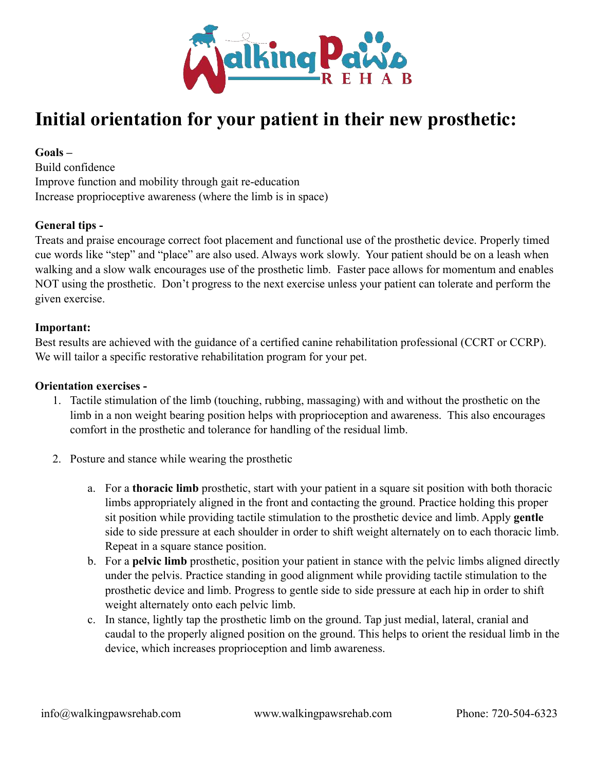

## **Initial orientation for your patient in their new prosthetic:**

**Goals –** 

Build confidence Improve function and mobility through gait re-education Increase proprioceptive awareness (where the limb is in space)

## **General tips -**

Treats and praise encourage correct foot placement and functional use of the prosthetic device. Properly timed cue words like "step" and "place" are also used. Always work slowly. Your patient should be on a leash when walking and a slow walk encourages use of the prosthetic limb. Faster pace allows for momentum and enables NOT using the prosthetic. Don't progress to the next exercise unless your patient can tolerate and perform the given exercise.

## **Important:**

Best results are achieved with the guidance of a certified canine rehabilitation professional (CCRT or CCRP). We will tailor a specific restorative rehabilitation program for your pet.

## **Orientation exercises -**

- 1. Tactile stimulation of the limb (touching, rubbing, massaging) with and without the prosthetic on the limb in a non weight bearing position helps with proprioception and awareness. This also encourages comfort in the prosthetic and tolerance for handling of the residual limb.
- 2. Posture and stance while wearing the prosthetic
	- a. For a **thoracic limb** prosthetic, start with your patient in a square sit position with both thoracic limbs appropriately aligned in the front and contacting the ground. Practice holding this proper sit position while providing tactile stimulation to the prosthetic device and limb. Apply **gentle** side to side pressure at each shoulder in order to shift weight alternately on to each thoracic limb. Repeat in a square stance position.
	- b. For a **pelvic limb** prosthetic, position your patient in stance with the pelvic limbs aligned directly under the pelvis. Practice standing in good alignment while providing tactile stimulation to the prosthetic device and limb. Progress to gentle side to side pressure at each hip in order to shift weight alternately onto each pelvic limb.
	- c. In stance, lightly tap the prosthetic limb on the ground. Tap just medial, lateral, cranial and caudal to the properly aligned position on the ground. This helps to orient the residual limb in the device, which increases proprioception and limb awareness.